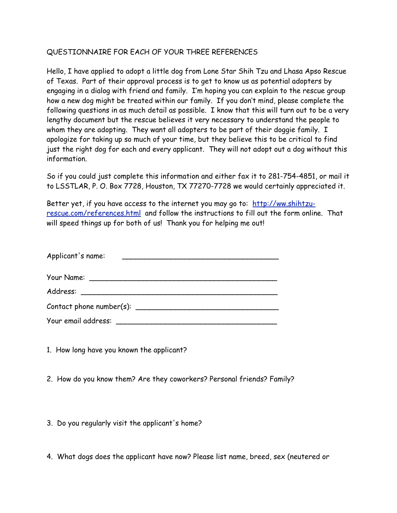## QUESTIONNAIRE FOR EACH OF YOUR THREE REFERENCES

Hello, I have applied to adopt a little dog from Lone Star Shih Tzu and Lhasa Apso Rescue of Texas. Part of their approval process is to get to know us as potential adopters by engaging in a dialog with friend and family. I'm hoping you can explain to the rescue group how a new dog might be treated within our family. If you don't mind, please complete the following questions in as much detail as possible. I know that this will turn out to be a very lengthy document but the rescue believes it very necessary to understand the people to whom they are adopting. They want all adopters to be part of their doggie family. I apologize for taking up so much of your time, but they believe this to be critical to find just the right dog for each and every applicant. They will not adopt out a dog without this information.

So if you could just complete this information and either fax it to 281-754-4851, or mail it to LSSTLAR, P. O. Box 7728, Houston, TX 77270-7728 we would certainly appreciated it.

Better yet, if you have access to the internet you may go to: [http://ww.shihtzu](http://ww.shihtzu-rescue.com/references.html)[rescue.com/references.html](http://ww.shihtzu-rescue.com/references.html) and follow the instructions to fill out the form online. That will speed things up for both of us! Thank you for helping me out!

| Applicant's name:                                                                                                                                                                                                                                                      | <u> 1980 - Jan Barnett, fransk politik (d. 1980)</u> |  |
|------------------------------------------------------------------------------------------------------------------------------------------------------------------------------------------------------------------------------------------------------------------------|------------------------------------------------------|--|
|                                                                                                                                                                                                                                                                        |                                                      |  |
|                                                                                                                                                                                                                                                                        |                                                      |  |
| Contact phone number(s): $\frac{1}{2}$ matrix and the number of state $\frac{1}{2}$ matrix $\frac{1}{2}$ matrix $\frac{1}{2}$ matrix $\frac{1}{2}$ matrix $\frac{1}{2}$ matrix $\frac{1}{2}$ matrix $\frac{1}{2}$ matrix $\frac{1}{2}$ matrix $\frac{1}{2}$ matrix $\$ |                                                      |  |
|                                                                                                                                                                                                                                                                        |                                                      |  |

1. How long have you known the applicant?

2. How do you know them? Are they coworkers? Personal friends? Family?

3. Do you regularly visit the applicant's home?

4. What dogs does the applicant have now? Please list name, breed, sex (neutered or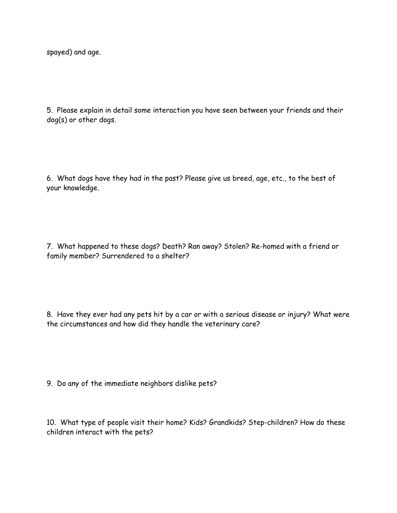spayed) and age.

5. Please explain in detail some interaction you have seen between your friends and their dog(s) or other dogs.

6. What dogs have they had in the past? Please give us breed, age, etc., to the best of your knowledge.

7. What happened to these dogs? Death? Ran away? Stolen? Re-homed with a friend or family member? Surrendered to a shelter?

8. Have they ever had any pets hit by a car or with a serious disease or injury? What were the circumstances and how did they handle the veterinary care?

9. Do any of the immediate neighbors dislike pets?

10. What type of people visit their home? Kids? Grandkids? Step-children? How do these children interact with the pets?